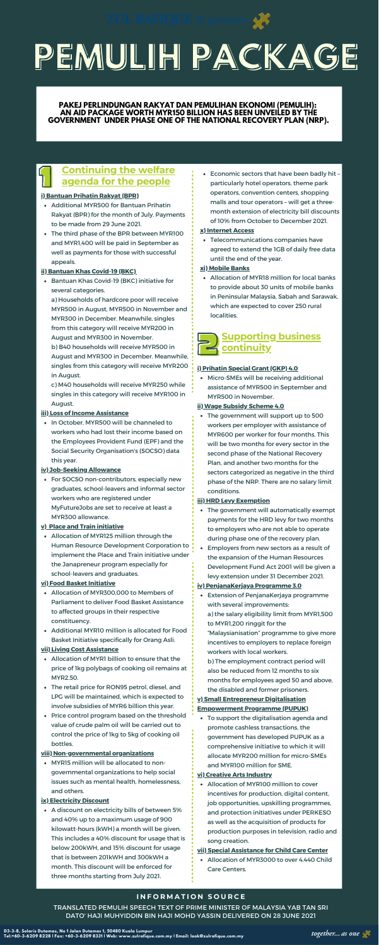# **PEMULIH PACKAGE**

# 1 **Continuing the welfare agenda for the people**

- Additional MYR500 for Bantuan Prihatin Rakyat (BPR) for the month of July. Payments to be made from 29 June 2021.
- The third phase of the BPR between MYR100 and MYR1,400 will be paid in September as well as payments for those with successful appeals.

• In October, MYR500 will be channeled to workers who had lost their income based on the Employees Provident Fund (EPF) and the Social Security Organisation's (SOCSO) data this year.

For SOCSO non-contributors, especially new graduates, school-leavers and informal sector workers who are registered under MyFutureJobs are set to receive at least a MYR300 allowance.

Allocation of MYR125 million through the Human Resource Development Corporation to implement the Place and Train initiative under the Janapreneur program especially for school-leavers and graduates.

- Allocation of MYR300,000 to Members of Parliament to deliver Food Basket Assistance to affected groups in their respective constituency.
- Additional MYR10 million is allocated for Food Basket Initiative specifically for Orang Asli.
- Bantuan Khas Covid-19 (BKC) initiative for several categories.
	- a) Households of hardcore poor will receive MYR500 in August, MYR500 in November and MYR300 in December. Meanwhile, singles from this category will receive MYR200 in August and MYR300 in November.
	- b) B40 households will receive MYR500 in August and MYR300 in December. Meanwhile, singles from this category will receive MYR200 in August.
	- c) M40 households will receive MYR250 while singles in this category will receive MYR100 in August.

- Allocation of MYR1 billion to ensure that the price of 1kg polybags of cooking oil remains at MYR2.50.
- The retail price for RON95 petrol, diesel, and LPG will be maintained, which is expected to involve subsidies of MYR6 billion this year.
- Price control program based on the threshold value of crude palm oil will be carried out to control the price of 1kg to 5kg of cooking oil bottles.

MYR15 million will be allocated to nongovernmental organizations to help social issues such as mental health, homelessness, and others.

A discount on electricity bills of between 5% and 40% up to a maximum usage of 900 kilowatt-hours (kWH) a month will be given. This includes a 40% discount for usage that is below 200kWH, and 15% discount for usage that is between 201kWH and 300kWH a month. This discount will be enforced for three months starting from July 2021.

#### **i) Bantuan Prihatin Rakyat (BPR)**

#### **ii) Bantuan Khas Covid-19 (BKC)**

# **iii) Loss of Income Assistance**

# **iv) Job-Seeking Allowance**

# **v) Place and Train initiative**

# **2**<br>2<br>cont **Supporting business continuity**

#### **vi) Food Basket Initiative**

#### **vii) Living Cost Assistance**

#### **viii) Non-governmental organizations**

#### **ix) Electricity Discount**



# **PAKEJ PERLINDUNGAN RAKYAT DAN PEMULIHAN EKONOMI (PEMULIH): AN AID PACKAGE WORTH MYR150 BILLION HAS BEEN UNVEILED BY THE GOVERNMENT UNDER PHASE ONE OF THE NATIONAL RECOVERY PLAN (NRP).**

# **I N F O R M A T I O N S O U R C E**

TRANSLATED PEMULIH SPEECH TEXT OF PRIME MINISTER OF MALAYSIA YAB TAN SRI DATO' HAJI MUHYIDDIN BIN HAJI MOHD YASSIN DELIVERED ON 28 JUNE 2021

Micro-SMEs will be receiving additional assistance of MYR500 in September and MYR500 in November.

The government will support up to 500 workers per employer with assistance of MYR600 per worker for four months. This will be two months for every sector in the second phase of the National Recovery Plan, and another two months for the sectors categorized as negative in the third phase of the NRP. There are no salary limit conditions.

- The government will automatically exempt payments for the HRD levy for two months to employers who are not able to operate during phase one of the recovery plan.
- Employers from new sectors as a result of the expansion of the Human Resources Development Fund Act 2001 will be given a levy extension under 31 December 2021.

To support the digitalisation agenda and promote cashless transactions, the government has developed PUPUK as a comprehensive initiative to which it will allocate MYR200 million for micro-SMEs and MYR100 million for SME.

Allocation of MYR100 million to cover incentives for production, digital content, job opportunities, upskilling programmes, and protection initiatives under PERKESO as well as the acquisition of products for production purposes in television, radio and song creation.

- Extension of PenjanaKerjaya programme with several improvements: a) the salary eligibility limit from MYR1,500 to MYR1,200 ringgit for the "Malaysianisation" programme to give more incentives to employers to replace foreign workers with local workers. b) The employment contract period will also be reduced from 12 months to six months for employees aged 50 and above,
- the disabled and former prisoners.

Allocation of MYR3000 to over 4.440 Child Care Centers.

# **i) Prihatin Special Grant (GKP) 4.0**

# **ii) Wage Subsidy Scheme 4.0**

# **iii) HRD Levy Exemption**

#### **iv) PenjanaKerjaya Programme 3.0**

# **v) Small Entrepreneur Digitalisation Empowerment Programme (PUPUK)**

#### **vi) Creative Arts Industry**

#### **vii) Special Assistance for Child Care Center**

Economic sectors that have been badly hit – particularly hotel operators, theme park operators, convention centers, shopping malls and tour operators – will get a threemonth extension of electricity bill discounts of 10% from October to December 2021.

Telecommunications companies have agreed to extend the 1GB of daily free data until the end of the year.

Allocation of MYR18 million for local banks to provide about 30 units of mobile banks in Peninsular Malaysia, Sabah and Sarawak, which are expected to cover 250 rural localities.

#### **x) Internet Access**

#### **xi) Mobile Banks**